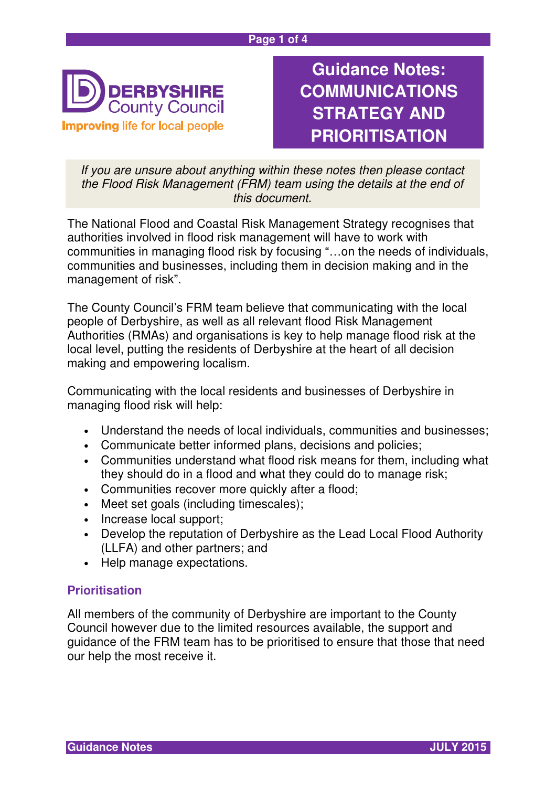#### **Page 1 of 4**



**Guidance Notes: COMMUNICATIONS STRATEGY AND PRIORITISATION**

If you are unsure about anything within these notes then please contact the Flood Risk Management (FRM) team using the details at the end of this document.

The National Flood and Coastal Risk Management Strategy recognises that authorities involved in flood risk management will have to work with communities in managing flood risk by focusing "…on the needs of individuals, communities and businesses, including them in decision making and in the management of risk".

The County Council's FRM team believe that communicating with the local people of Derbyshire, as well as all relevant flood Risk Management Authorities (RMAs) and organisations is key to help manage flood risk at the local level, putting the residents of Derbyshire at the heart of all decision making and empowering localism.

Communicating with the local residents and businesses of Derbyshire in managing flood risk will help:

- Understand the needs of local individuals, communities and businesses;
- Communicate better informed plans, decisions and policies;
- Communities understand what flood risk means for them, including what they should do in a flood and what they could do to manage risk;
- Communities recover more quickly after a flood;
- Meet set goals (including timescales);
- Increase local support;
- Develop the reputation of Derbyshire as the Lead Local Flood Authority (LLFA) and other partners; and
- Help manage expectations.

### **Prioritisation**

All members of the community of Derbyshire are important to the County Council however due to the limited resources available, the support and guidance of the FRM team has to be prioritised to ensure that those that need our help the most receive it.

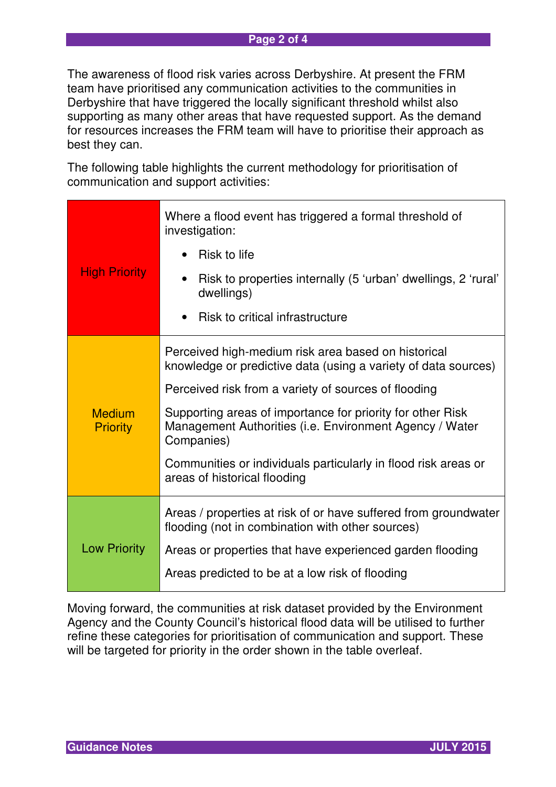The awareness of flood risk varies across Derbyshire. At present the FRM team have prioritised any communication activities to the communities in Derbyshire that have triggered the locally significant threshold whilst also supporting as many other areas that have requested support. As the demand for resources increases the FRM team will have to prioritise their approach as best they can.

The following table highlights the current methodology for prioritisation of communication and support activities:

|                                  | Where a flood event has triggered a formal threshold of<br>investigation:                                                           |  |  |
|----------------------------------|-------------------------------------------------------------------------------------------------------------------------------------|--|--|
| <b>High Priority</b>             | Risk to life                                                                                                                        |  |  |
|                                  | Risk to properties internally (5 'urban' dwellings, 2 'rural'<br>dwellings)                                                         |  |  |
|                                  | Risk to critical infrastructure                                                                                                     |  |  |
| <b>Medium</b><br><b>Priority</b> | Perceived high-medium risk area based on historical<br>knowledge or predictive data (using a variety of data sources)               |  |  |
|                                  | Perceived risk from a variety of sources of flooding                                                                                |  |  |
|                                  | Supporting areas of importance for priority for other Risk<br>Management Authorities (i.e. Environment Agency / Water<br>Companies) |  |  |
|                                  | Communities or individuals particularly in flood risk areas or<br>areas of historical flooding                                      |  |  |
| <b>Low Priority</b>              | Areas / properties at risk of or have suffered from groundwater<br>flooding (not in combination with other sources)                 |  |  |
|                                  | Areas or properties that have experienced garden flooding                                                                           |  |  |
|                                  | Areas predicted to be at a low risk of flooding                                                                                     |  |  |

Moving forward, the communities at risk dataset provided by the Environment Agency and the County Council's historical flood data will be utilised to further refine these categories for prioritisation of communication and support. These will be targeted for priority in the order shown in the table overleaf.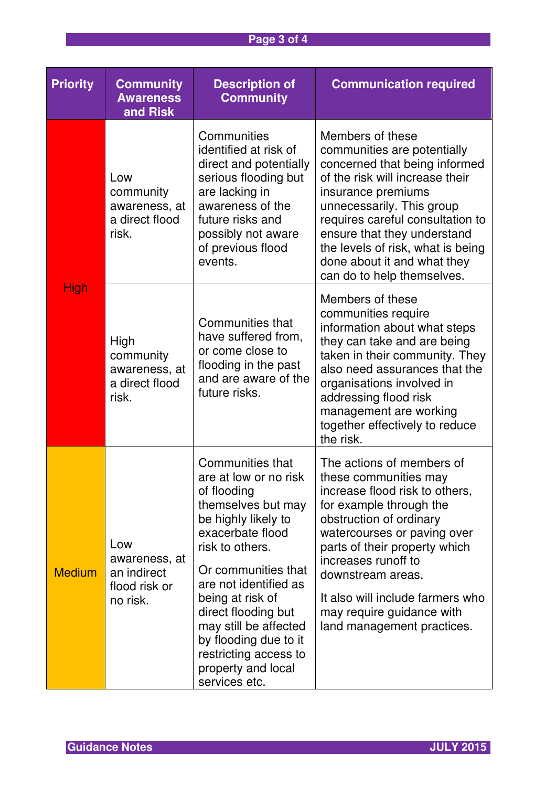# **Page 3 of 4**

| <b>Priority</b> | <b>Community</b><br><b>Awareness</b><br>and Risk                 | <b>Description of</b><br><b>Community</b>                                                                                                                                                                                                                                                                                                                 | <b>Communication required</b>                                                                                                                                                                                                                                                                                                                         |
|-----------------|------------------------------------------------------------------|-----------------------------------------------------------------------------------------------------------------------------------------------------------------------------------------------------------------------------------------------------------------------------------------------------------------------------------------------------------|-------------------------------------------------------------------------------------------------------------------------------------------------------------------------------------------------------------------------------------------------------------------------------------------------------------------------------------------------------|
| <b>High</b>     | Low<br>community<br>awareness, at<br>a direct flood<br>risk.     | Communities<br>identified at risk of<br>direct and potentially<br>serious flooding but<br>are lacking in<br>awareness of the<br>future risks and<br>possibly not aware<br>of previous flood<br>events.                                                                                                                                                    | Members of these<br>communities are potentially<br>concerned that being informed<br>of the risk will increase their<br>insurance premiums<br>unnecessarily. This group<br>requires careful consultation to<br>ensure that they understand<br>the levels of risk, what is being<br>done about it and what they<br>can do to help themselves.           |
|                 | High<br>community<br>awareness, at<br>a direct flood<br>risk.    | Communities that<br>have suffered from,<br>or come close to<br>flooding in the past<br>and are aware of the<br>future risks.                                                                                                                                                                                                                              | Members of these<br>communities require<br>information about what steps<br>they can take and are being<br>taken in their community. They<br>also need assurances that the<br>organisations involved in<br>addressing flood risk<br>management are working<br>together effectively to reduce<br>the risk.                                              |
| <b>Medium</b>   | Low<br>awareness, at<br>an indirect<br>flood risk or<br>no risk. | Communities that<br>are at low or no risk<br>of flooding<br>themselves but may<br>be highly likely to<br>exacerbate flood<br>risk to others.<br>Or communities that<br>are not identified as<br>being at risk of<br>direct flooding but<br>may still be affected<br>by flooding due to it<br>restricting access to<br>property and local<br>services etc. | The actions of members of<br>these communities may<br>increase flood risk to others,<br>for example through the<br>obstruction of ordinary<br>watercourses or paving over<br>parts of their property which<br>increases runoff to<br>downstream areas.<br>It also will include farmers who<br>may require guidance with<br>land management practices. |